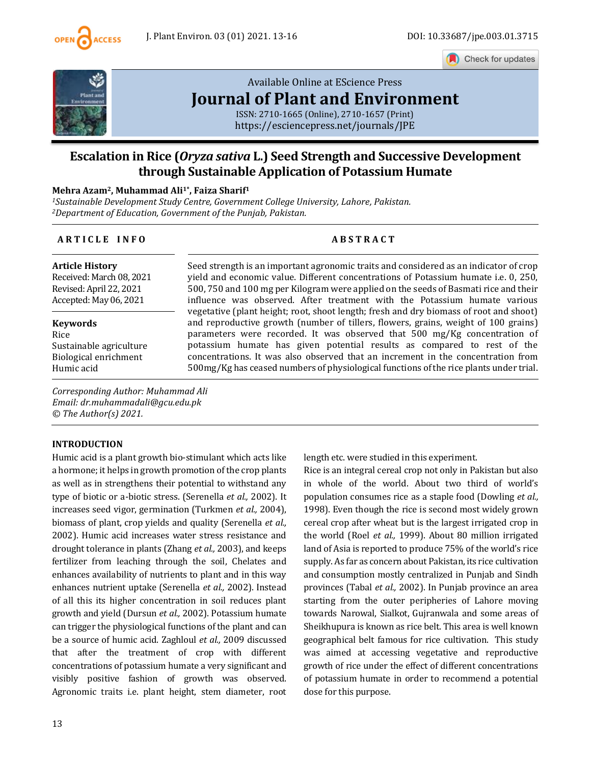

Check for updates



# [Available Online at EScience Press](https://esciencepress.net/journals/JPE) **[Journal of Plant and Environment](https://esciencepress.net/journals/JPE)**

ISSN: 2710-1665 (Online), 2710-1657 (Print) <https://esciencepress.net/journals/JPE>

## **Escalation in Rice (***Oryza sativa* **L.) Seed Strength and Successive Development through Sustainable Application of Potassium Humate**

#### **Mehra Azam2, Muhammad Ali1\* , Faiza Sharif<sup>1</sup>**

*<sup>1</sup>Sustainable Development Study Centre, Government College University, Lahore, Pakistan. <sup>2</sup>Department of Education, Government of the Punjab, Pakistan.*

#### **A R T I C L E I N F O A B S T R A C T**

**Article History** Received: March 08, 2021 Revised: April 22, 2021 Accepted: May 06, 2021

**Keywords** Rice Sustainable agriculture Biological enrichment Humic acid

Seed strength is an important agronomic traits and considered as an indicator of crop yield and economic value. Different concentrations of Potassium humate i.e. 0, 250, 500, 750 and 100 mg per Kilogram were applied on the seeds of Basmati rice and their influence was observed. After treatment with the Potassium humate various vegetative (plant height; root, shoot length; fresh and dry biomass of root and shoot) and reproductive growth (number of tillers, flowers, grains, weight of 100 grains) parameters were recorded. It was observed that 500 mg/Kg concentration of potassium humate has given potential results as compared to rest of the concentrations. It was also observed that an increment in the concentration from 500mg/Kg has ceased numbers of physiological functions of the rice plants under trial.

*Corresponding Author: Muhammad Ali Email: dr.muhammadali@gcu.edu.pk © The Author(s) 2021.*

#### **INTRODUCTION**

Humic acid is a plant growth bio-stimulant which acts like a hormone; it helps in growth promotion of the crop plants as well as in strengthens their potential to withstand any type of biotic or a-biotic stress. (Serenella *et al.,* 2002). It increases seed vigor, germination (Turkmen *et al.,* 2004), biomass of plant, crop yields and quality (Serenella *et al.,* 2002). Humic acid increases water stress resistance and drought tolerance in plants (Zhang *et al.,* 2003), and keeps fertilizer from leaching through the soil, Chelates and enhances availability of nutrients to plant and in this way enhances nutrient uptake (Serenella *et al.,* 2002). Instead of all this its higher concentration in soil reduces plant growth and yield (Dursun *et al.,* 2002). Potassium humate can trigger the physiological functions of the plant and can be a source of humic acid. Zaghloul *et al.,* 2009 discussed that after the treatment of crop with different concentrations of potassium humate a very significant and visibly positive fashion of growth was observed. Agronomic traits i.e. plant height, stem diameter, root length etc. were studied in this experiment.

Rice is an integral cereal crop not only in Pakistan but also in whole of the world. About two third of world's population consumes rice as a staple food (Dowling *et al.,* 1998). Even though the rice is second most widely grown cereal crop after wheat but is the largest irrigated crop in the world (Roel *et al.,* 1999). About 80 million irrigated land of Asia is reported to produce 75% of the world's rice supply. As far as concern about Pakistan, its rice cultivation and consumption mostly centralized in Punjab and Sindh provinces (Tabal *et al.,* 2002). In Punjab province an area starting from the outer peripheries of Lahore moving towards Narowal, Sialkot, Gujranwala and some areas of Sheikhupura is known as rice belt. This area is well known geographical belt famous for rice cultivation. This study was aimed at accessing vegetative and reproductive growth of rice under the effect of different concentrations of potassium humate in order to recommend a potential dose for this purpose.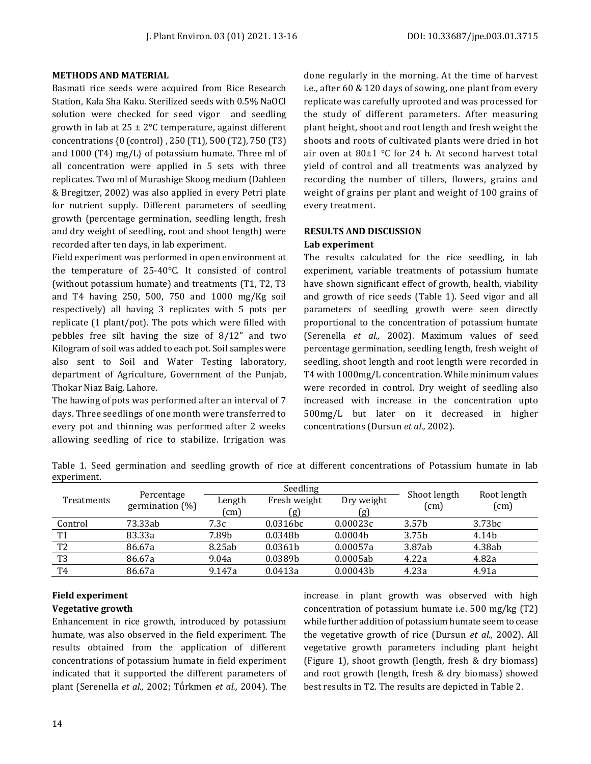#### **METHODS AND MATERIAL**

Basmati rice seeds were acquired from Rice Research Station, Kala Sha Kaku. Sterilized seeds with 0.5% NaOCl solution were checked for seed vigor and seedling growth in lab at  $25 \pm 2^{\circ}$ C temperature, against different concentrations {0 (control) , 250 (T1), 500 (T2), 750 (T3) and 1000 (T4) mg/L} of potassium humate. Three ml of all concentration were applied in 5 sets with three replicates. Two ml of Murashige Skoog medium (Dahleen & Bregitzer, 2002) was also applied in every Petri plate for nutrient supply. Different parameters of seedling growth (percentage germination, seedling length, fresh and dry weight of seedling, root and shoot length) were recorded after ten days, in lab experiment.

Field experiment was performed in open environment at the temperature of 25-40°C. It consisted of control (without potassium humate) and treatments (T1, T2, T3 and T4 having 250, 500, 750 and 1000 mg/Kg soil respectively) all having 3 replicates with 5 pots per replicate (1 plant/pot). The pots which were filled with pebbles free silt having the size of 8/12" and two Kilogram of soil was added to each pot. Soil samples were also sent to Soil and Water Testing laboratory, department of Agriculture, Government of the Punjab, Thokar Niaz Baig, Lahore.

The hawing of pots was performed after an interval of 7 days. Three seedlings of one month were transferred to every pot and thinning was performed after 2 weeks allowing seedling of rice to stabilize. Irrigation was done regularly in the morning. At the time of harvest i.e., after 60 & 120 days of sowing, one plant from every replicate was carefully uprooted and was processed for the study of different parameters. After measuring plant height, shoot and root length and fresh weight the shoots and roots of cultivated plants were dried in hot air oven at 80±1 °C for 24 h. At second harvest total yield of control and all treatments was analyzed by recording the number of tillers, flowers, grains and weight of grains per plant and weight of 100 grains of every treatment.

#### **RESULTS AND DISCUSSION Lab experiment**

The results calculated for the rice seedling, in lab experiment, variable treatments of potassium humate have shown significant effect of growth, health, viability and growth of rice seeds (Table 1). Seed vigor and all parameters of seedling growth were seen directly proportional to the concentration of potassium humate (Serenella *et al.,* 2002). Maximum values of seed percentage germination, seedling length, fresh weight of seedling, shoot length and root length were recorded in T4 with 1000mg/L concentration. While minimum values were recorded in control. Dry weight of seedling also increased with increase in the concentration upto 500mg/L but later on it decreased in higher concentrations (Dursun *et al.,* 2002).

Table 1. Seed germination and seedling growth of rice at different concentrations of Potassium humate in lab experiment.

| Treatments     | Percentage<br>germination $(\%)$ | Seedling      |                             |                      | Shoot length      | Root length |
|----------------|----------------------------------|---------------|-----------------------------|----------------------|-------------------|-------------|
|                |                                  | Length        | Fresh weight                | Dry weight           | (cm)              | (cm)        |
|                |                                  | $\text{cm}$ ) | $\left[ \mathbf{g} \right]$ | (g)                  |                   |             |
| Control        | 73.33ab                          | 7.3c          | 0.0316bc                    | 0.00023c             | 3.57 <sub>b</sub> | 3.73bc      |
| T <sub>1</sub> | 83.33a                           | 7.89b         | 0.0348 <sub>b</sub>         | 0.0004 <sub>b</sub>  | 3.75b             | 4.14b       |
| T <sub>2</sub> | 86.67a                           | 8.25ab        | 0.0361b                     | 0.00057a             | 3.87ab            | 4.38ab      |
| T <sub>3</sub> | 86.67a                           | 9.04a         | 0.0389b                     | 0.0005ab             | 4.22a             | 4.82a       |
| T <sub>4</sub> | 86.67a                           | 9.147a        | 0.0413a                     | 0.00043 <sub>b</sub> | 4.23a             | 4.91a       |

### **Field experiment**

#### **Vegetative growth**

Enhancement in rice growth, introduced by potassium humate, was also observed in the field experiment. The results obtained from the application of different concentrations of potassium humate in field experiment indicated that it supported the different parameters of plant (Serenella *et al.,* 2002; Tǘrkmen *et al.,* 2004). The

increase in plant growth was observed with high concentration of potassium humate i.e. 500 mg/kg (T2) while further addition of potassium humate seem to cease the vegetative growth of rice (Dursun *et al.,* 2002). All vegetative growth parameters including plant height (Figure 1), shoot growth (length, fresh & dry biomass) and root growth (length, fresh & dry biomass) showed best results in T2. The results are depicted in Table 2.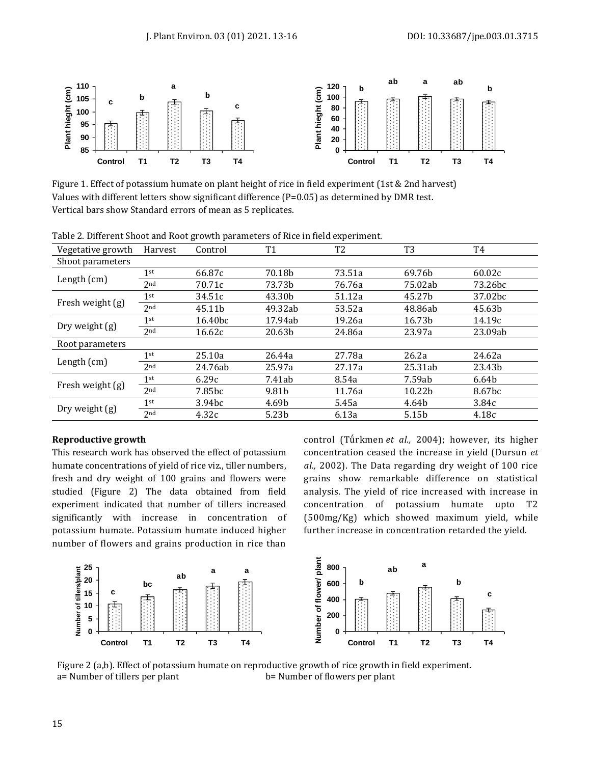

Figure 1. Effect of potassium humate on plant height of rice in field experiment (1st & 2nd harvest) Values with different letters show significant difference (P=0.05) as determined by DMR test. Vertical bars show Standard errors of mean as 5 replicates.

| Table 2. Different phone and Noot growth parameters of Nice in Heid experiment. |                 |                     |         |                |                |                     |  |  |  |
|---------------------------------------------------------------------------------|-----------------|---------------------|---------|----------------|----------------|---------------------|--|--|--|
| Vegetative growth                                                               | Harvest         | Control             | Τ1      | T <sub>2</sub> | T <sub>3</sub> | T4                  |  |  |  |
| Shoot parameters                                                                |                 |                     |         |                |                |                     |  |  |  |
| Length $(cm)$                                                                   | 1 <sup>st</sup> | 66.87c              | 70.18b  | 73.51a         | 69.76b         | 60.02c              |  |  |  |
|                                                                                 | 2 <sub>nd</sub> | 70.71c              | 73.73b  | 76.76a         | 75.02ab        | 73.26 <sub>bc</sub> |  |  |  |
| Fresh weight (g)                                                                | $1$ st          | 34.51c              | 43.30b  | 51.12a         | 45.27b         | 37.02bc             |  |  |  |
|                                                                                 | 2 <sub>nd</sub> | 45.11b              | 49.32ab | 53.52a         | 48.86ab        | 45.63b              |  |  |  |
| Dry weight (g)                                                                  | 1 <sup>st</sup> | 16.40 <sub>bc</sub> | 17.94ab | 19.26a         | 16.73b         | 14.19c              |  |  |  |
|                                                                                 | 2 <sub>nd</sub> | 16.62c              | 20.63b  | 24.86a         | 23.97a         | 23.09ab             |  |  |  |
| Root parameters                                                                 |                 |                     |         |                |                |                     |  |  |  |
| Length $(cm)$                                                                   | 1 <sup>st</sup> | 25.10a              | 26.44a  | 27.78a         | 26.2a          | 24.62a              |  |  |  |
|                                                                                 | 2 <sub>nd</sub> | 24.76ab             | 25.97a  | 27.17a         | 25.31ab        | 23.43b              |  |  |  |
| Fresh weight (g)                                                                | $1^{\rm st}$    | 6.29c               | 7.41ab  | 8.54a          | 7.59ab         | 6.64b               |  |  |  |
|                                                                                 | 2 <sub>nd</sub> | 7.85bc              | 9.81b   | 11.76a         | 10.22b         | 8.67 <sub>bc</sub>  |  |  |  |
| Dry weight (g)                                                                  | 1 <sup>st</sup> | 3.94 <sub>bc</sub>  | 4.69b   | 5.45a          | 4.64b          | 3.84c               |  |  |  |
|                                                                                 | 2 <sub>nd</sub> | 4.32c               | 5.23b   | 6.13a          | 5.15b          | 4.18c               |  |  |  |

Table 2. Different Shoot and Root growth parameters of Rice in field experiment.

#### **Reproductive growth**

This research work has observed the effect of potassium humate concentrations of yield of rice viz., tiller numbers, fresh and dry weight of 100 grains and flowers were studied (Figure 2) The data obtained from field experiment indicated that number of tillers increased significantly with increase in concentration of potassium humate. Potassium humate induced higher number of flowers and grains production in rice than

control (Tǘrkmen *et al.,* 2004); however, its higher concentration ceased the increase in yield (Dursun *et al.,* 2002). The Data regarding dry weight of 100 rice grains show remarkable difference on statistical analysis. The yield of rice increased with increase in concentration of potassium humate upto T2 (500mg/Kg) which showed maximum yield, while further increase in concentration retarded the yield.



Figure 2 (a,b). Effect of potassium humate on reproductive growth of rice growth in field experiment. a= Number of tillers per plant b= Number of flowers per plant